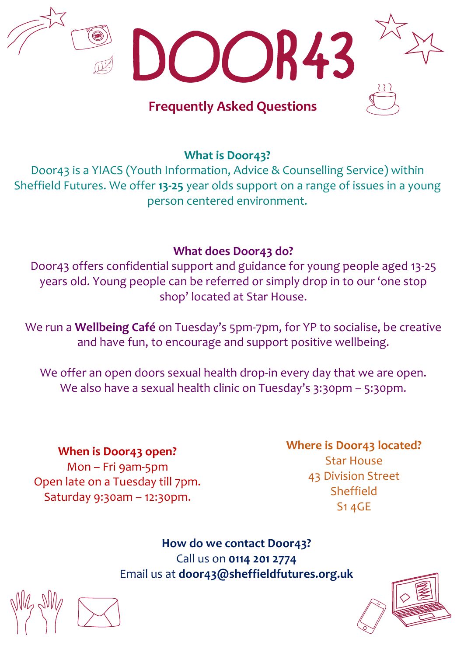

**What is Door43?**

Door43 is a YIACS (Youth Information, Advice & Counselling Service) within Sheffield Futures. We offer **13-25** year olds support on a range of issues in a young person centered environment.

# **What does Door43 do?**

Door43 offers confidential support and guidance for young people aged 13-25 years old. Young people can be referred or simply drop in to our 'one stop shop' located at Star House.

We run a **Wellbeing Café** on Tuesday's 5pm-7pm, for YP to socialise, be creative and have fun, to encourage and support positive wellbeing.

We offer an open doors sexual health drop-in every day that we are open. We also have a sexual health clinic on Tuesday's 3:30pm - 5:30pm.

**When is Door43 open?** Mon – Fri 9am-5pm Open late on a Tuesday till 7pm. Saturday 9:30am – 12:30pm.

# **Where is Door43 located?**

Star House 43 Division Street Sheffield S1 4GE

**How do we contact Door43?** Call us on **0114 201 2774** Email us at **door43@sheffieldfutures.org.uk**